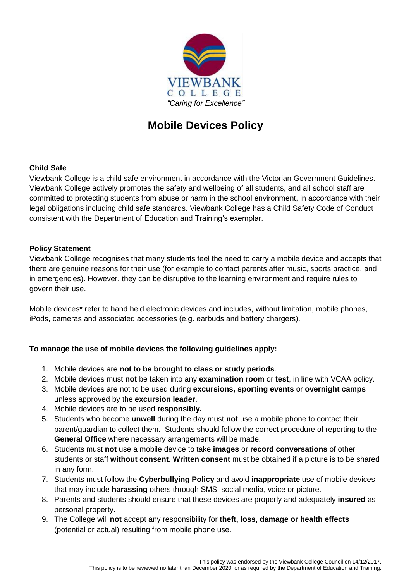

# **Mobile Devices Policy**

## **Child Safe**

Viewbank College is a child safe environment in accordance with the Victorian Government Guidelines. Viewbank College actively promotes the safety and wellbeing of all students, and all school staff are committed to protecting students from abuse or harm in the school environment, in accordance with their legal obligations including child safe standards. Viewbank College has a Child Safety Code of Conduct consistent with the Department of Education and Training's exemplar.

#### **Policy Statement**

Viewbank College recognises that many students feel the need to carry a mobile device and accepts that there are genuine reasons for their use (for example to contact parents after music, sports practice, and in emergencies). However, they can be disruptive to the learning environment and require rules to govern their use.

Mobile devices\* refer to hand held electronic devices and includes, without limitation, mobile phones, iPods, cameras and associated accessories (e.g. earbuds and battery chargers).

## **To manage the use of mobile devices the following guidelines apply:**

- 1. Mobile devices are **not to be brought to class or study periods**.
- 2. Mobile devices must **not** be taken into any **examination room** or **test**, in line with VCAA policy.
- 3. Mobile devices are not to be used during **excursions, sporting events** or **overnight camps** unless approved by the **excursion leader**.
- 4. Mobile devices are to be used **responsibly.**
- 5. Students who become **unwell** during the day must **not** use a mobile phone to contact their parent/guardian to collect them. Students should follow the correct procedure of reporting to the **General Office** where necessary arrangements will be made.
- 6. Students must **not** use a mobile device to take **images** or **record conversations** of other students or staff **without consent**. **Written consent** must be obtained if a picture is to be shared in any form.
- 7. Students must follow the **Cyberbullying Policy** and avoid **inappropriate** use of mobile devices that may include **harassing** others through SMS, social media, voice or picture.
- 8. Parents and students should ensure that these devices are properly and adequately **insured** as personal property.
- 9. The College will **not** accept any responsibility for **theft, loss, damage or health effects** (potential or actual) resulting from mobile phone use.